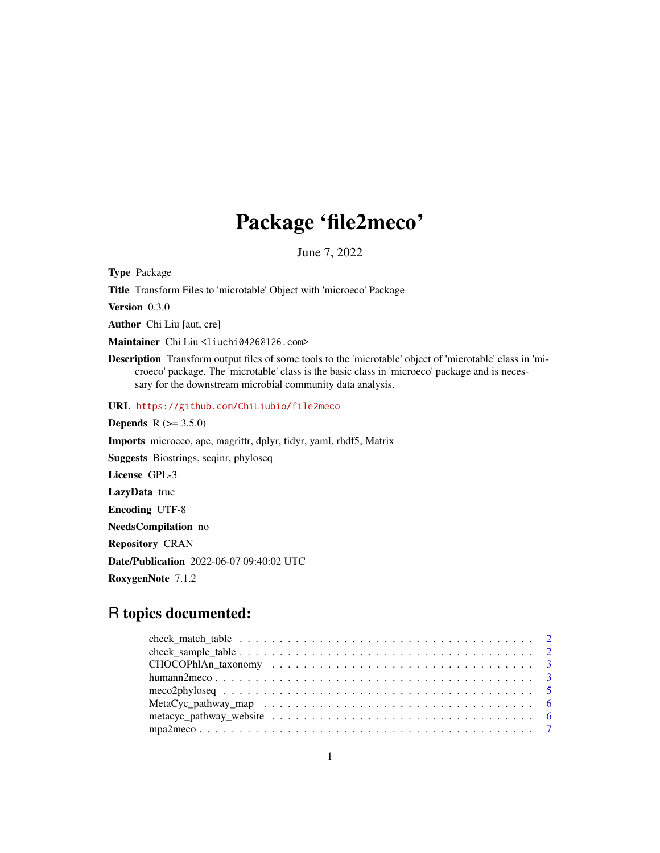# Package 'file2meco'

June 7, 2022

Type Package

Title Transform Files to 'microtable' Object with 'microeco' Package

Version 0.3.0

Author Chi Liu [aut, cre]

Maintainer Chi Liu <liuchi0426@126.com>

Description Transform output files of some tools to the 'microtable' object of 'microtable' class in 'microeco' package. The 'microtable' class is the basic class in 'microeco' package and is necessary for the downstream microbial community data analysis.

URL <https://github.com/ChiLiubio/file2meco>

**Depends** R  $(>= 3.5.0)$ Imports microeco, ape, magrittr, dplyr, tidyr, yaml, rhdf5, Matrix Suggests Biostrings, seqinr, phyloseq License GPL-3 LazyData true Encoding UTF-8 NeedsCompilation no Repository CRAN Date/Publication 2022-06-07 09:40:02 UTC RoxygenNote 7.1.2

# R topics documented: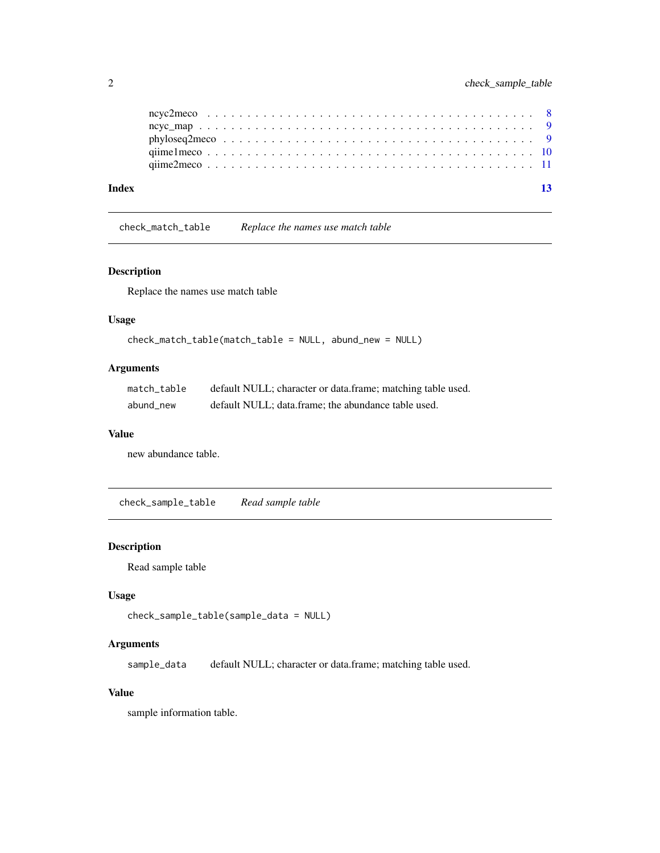<span id="page-1-0"></span>

| Index |  |  |  |  |  |  |  |  |  |  |  |  |  |  |  |  |  |  |  |
|-------|--|--|--|--|--|--|--|--|--|--|--|--|--|--|--|--|--|--|--|
|       |  |  |  |  |  |  |  |  |  |  |  |  |  |  |  |  |  |  |  |
|       |  |  |  |  |  |  |  |  |  |  |  |  |  |  |  |  |  |  |  |
|       |  |  |  |  |  |  |  |  |  |  |  |  |  |  |  |  |  |  |  |
|       |  |  |  |  |  |  |  |  |  |  |  |  |  |  |  |  |  |  |  |
|       |  |  |  |  |  |  |  |  |  |  |  |  |  |  |  |  |  |  |  |

check\_match\_table *Replace the names use match table*

# Description

Replace the names use match table

# Usage

```
check_match_table(match_table = NULL, abund_new = NULL)
```
# Arguments

| match table | default NULL; character or data.frame; matching table used. |
|-------------|-------------------------------------------------------------|
| abund new   | default NULL; data.frame; the abundance table used.         |

### Value

new abundance table.

check\_sample\_table *Read sample table*

# Description

Read sample table

# Usage

```
check_sample_table(sample_data = NULL)
```
# Arguments

sample\_data default NULL; character or data.frame; matching table used.

# Value

sample information table.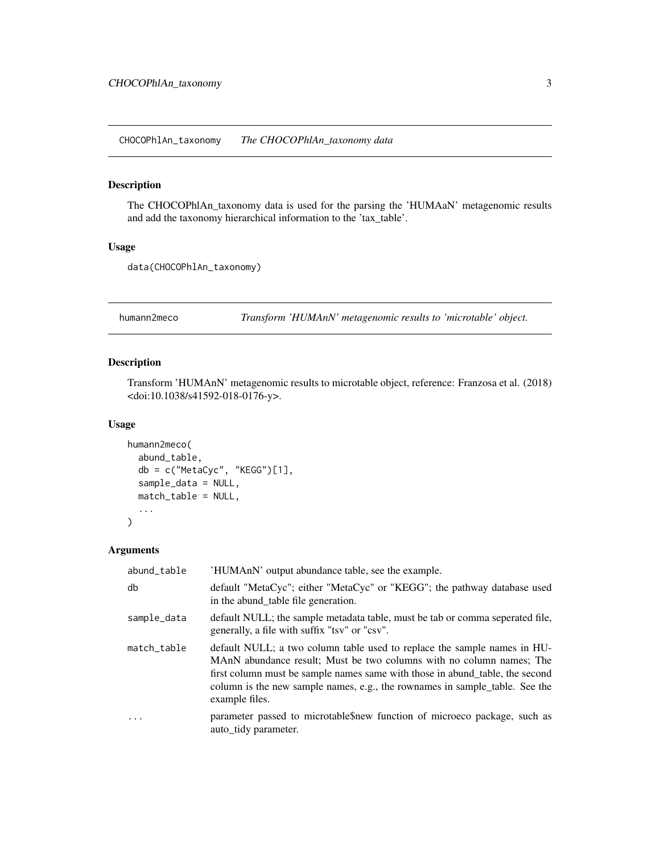<span id="page-2-0"></span>CHOCOPhlAn\_taxonomy *The CHOCOPhlAn\_taxonomy data*

# Description

The CHOCOPhlAn\_taxonomy data is used for the parsing the 'HUMAaN' metagenomic results and add the taxonomy hierarchical information to the 'tax\_table'.

#### Usage

```
data(CHOCOPhlAn_taxonomy)
```
humann2meco *Transform 'HUMAnN' metagenomic results to 'microtable' object.*

# Description

Transform 'HUMAnN' metagenomic results to microtable object, reference: Franzosa et al. (2018) <doi:10.1038/s41592-018-0176-y>.

#### Usage

```
humann2meco(
  abund_table,
  db = c("MetaCyc", "KEGG")[1],
  sample_data = NULL,
  match_table = NULL,
  ...
\mathcal{L}
```
# Arguments

| abund_table | 'HUMAnN' output abundance table, see the example.                                                                                                                                                                                                                                                                                 |
|-------------|-----------------------------------------------------------------------------------------------------------------------------------------------------------------------------------------------------------------------------------------------------------------------------------------------------------------------------------|
| db          | default "MetaCyc"; either "MetaCyc" or "KEGG"; the pathway database used<br>in the abund_table file generation.                                                                                                                                                                                                                   |
| sample_data | default NULL; the sample metadata table, must be tab or comma seperated file,<br>generally, a file with suffix "tsv" or "csv".                                                                                                                                                                                                    |
| match_table | default NULL; a two column table used to replace the sample names in HU-<br>MAnN abundance result; Must be two columns with no column names; The<br>first column must be sample names same with those in abund_table, the second<br>column is the new sample names, e.g., the rownames in sample_table. See the<br>example files. |
| $\ddots$    | parameter passed to microtable\$new function of microeco package, such as<br>auto_tidy parameter.                                                                                                                                                                                                                                 |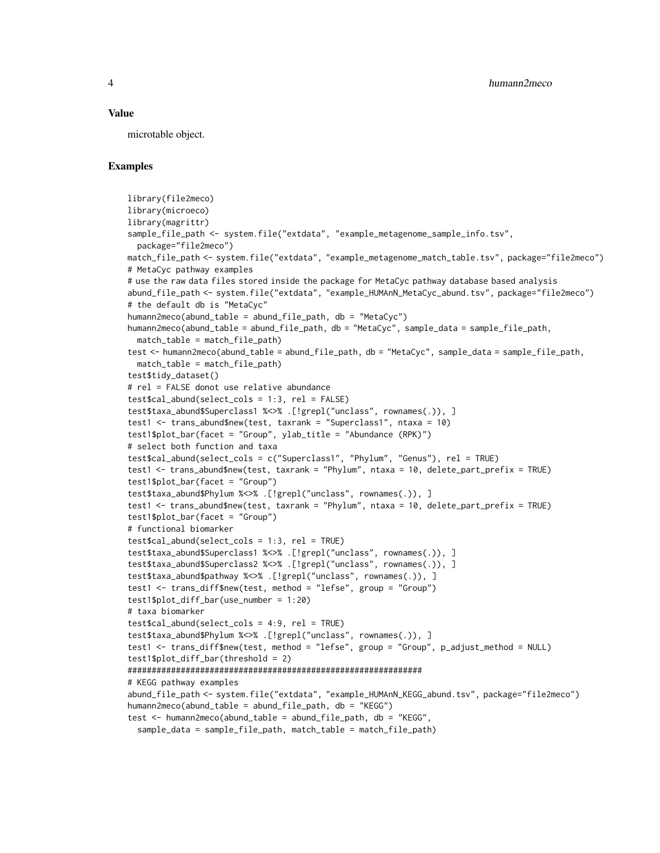#### Value

microtable object.

### Examples

```
library(file2meco)
library(microeco)
library(magrittr)
sample_file_path <- system.file("extdata", "example_metagenome_sample_info.tsv",
 package="file2meco")
match_file_path <- system.file("extdata", "example_metagenome_match_table.tsv", package="file2meco")
# MetaCyc pathway examples
# use the raw data files stored inside the package for MetaCyc pathway database based analysis
abund_file_path <- system.file("extdata", "example_HUMAnN_MetaCyc_abund.tsv", package="file2meco")
# the default db is "MetaCyc"
humann2meco(abund_table = abund_file_path, db = "MetaCyc")
humann2meco(abund_table = abund_file_path, db = "MetaCyc", sample_data = sample_file_path,
 match_table = match_file_path)
test <- humann2meco(abund_table = abund_file_path, db = "MetaCyc", sample_data = sample_file_path,
 match_table = match_file_path)
test$tidy_dataset()
# rel = FALSE donot use relative abundance
test$cal_abund(select_cols = 1:3, rel = FALSE)
test$taxa_abund$Superclass1 %<>% .[!grepl("unclass", rownames(.)), ]
test1 <- trans_abund$new(test, taxrank = "Superclass1", ntaxa = 10)
test1$plot_bar(facet = "Group", ylab_title = "Abundance (RPK)")
# select both function and taxa
test$cal_abund(select_cols = c("Superclass1", "Phylum", "Genus"), rel = TRUE)
test1 <- trans_abund$new(test, taxrank = "Phylum", ntaxa = 10, delete_part_prefix = TRUE)
test1$plot_bar(facet = "Group")
test$taxa_abund$Phylum %<>% .[!grepl("unclass", rownames(.)), ]
test1 <- trans_abund$new(test, taxrank = "Phylum", ntaxa = 10, delete_part_prefix = TRUE)
test1$plot_bar(facet = "Group")
# functional biomarker
test$cal_abund(select_cols = 1:3, rel = TRUE)
test$taxa_abund$Superclass1 %<>% .[!grepl("unclass", rownames(.)), ]
test$taxa_abund$Superclass2 %<>% .[!grepl("unclass", rownames(.)), ]
test$taxa_abund$pathway %<>% .[!grepl("unclass", rownames(.)), ]
test1 <- trans_diff$new(test, method = "lefse", group = "Group")
test1$plot_diff_bar(use_number = 1:20)
# taxa biomarker
test$cal_abund(select_cols = 4:9, rel = TRUE)
test$taxa_abund$Phylum %<>% .[!grepl("unclass", rownames(.)), ]
test1 <- trans_diff$new(test, method = "lefse", group = "Group", p_adjust_method = NULL)
test1$plot_diff_bar(threshold = 2)
#############################################################
# KEGG pathway examples
abund_file_path <- system.file("extdata", "example_HUMAnN_KEGG_abund.tsv", package="file2meco")
humann2meco(abund_table = abund_file_path, db = "KEGG")
test <- humann2meco(abund_table = abund_file_path, db = "KEGG",
 sample_data = sample_file_path, match_table = match_file_path)
```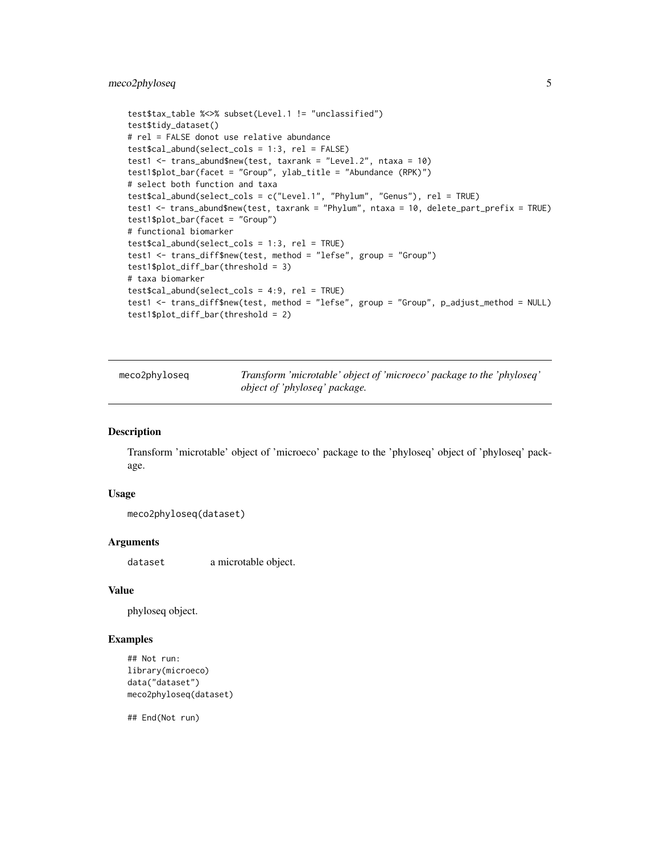```
test$tax_table %<>% subset(Level.1 != "unclassified")
test$tidy_dataset()
# rel = FALSE donot use relative abundance
test$cal_abund(select_cols = 1:3, rel = FALSE)
test1 <- trans_abund$new(test, taxrank = "Level.2", ntaxa = 10)
test1$plot_bar(facet = "Group", ylab_title = "Abundance (RPK)")
# select both function and taxa
test$cal_abund(select_cols = c("Level.1", "Phylum", "Genus"), rel = TRUE)
test1 <- trans_abund$new(test, taxrank = "Phylum", ntaxa = 10, delete_part_prefix = TRUE)
test1$plot_bar(facet = "Group")
# functional biomarker
test$cal_abund(select_cols = 1:3, rel = TRUE)
test1 <- trans_diff$new(test, method = "lefse", group = "Group")
test1$plot_diff_bar(threshold = 3)
# taxa biomarker
test$cal_abund(select_cols = 4:9, rel = TRUE)
test1 <- trans_diff$new(test, method = "lefse", group = "Group", p_adjust_method = NULL)
test1$plot_diff_bar(threshold = 2)
```
meco2phyloseq *Transform 'microtable' object of 'microeco' package to the 'phyloseq' object of 'phyloseq' package.*

#### Description

Transform 'microtable' object of 'microeco' package to the 'phyloseq' object of 'phyloseq' package.

#### Usage

```
meco2phyloseq(dataset)
```
#### Arguments

dataset a microtable object.

#### Value

phyloseq object.

#### Examples

```
## Not run:
library(microeco)
data("dataset")
meco2phyloseq(dataset)
```
## End(Not run)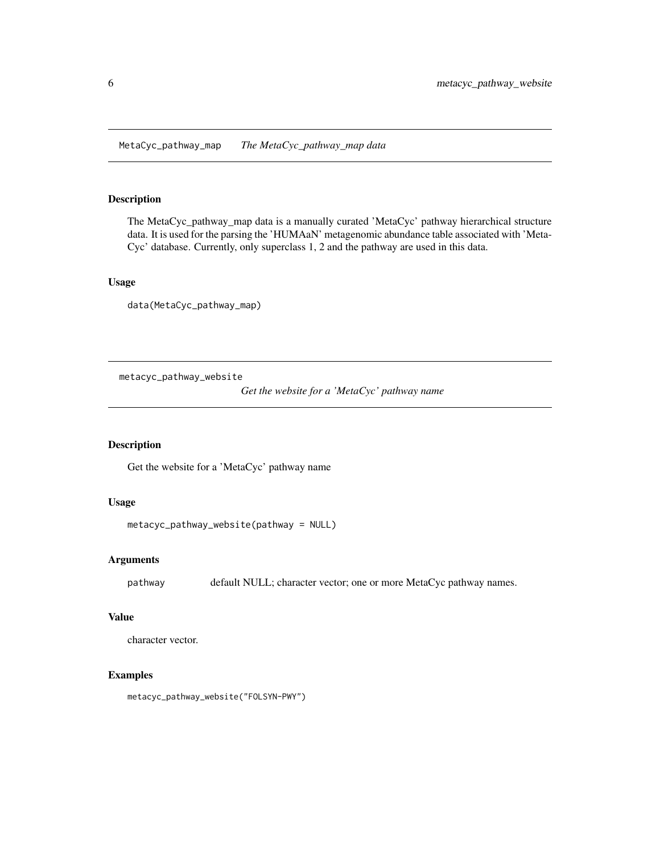### <span id="page-5-0"></span>Description

The MetaCyc\_pathway\_map data is a manually curated 'MetaCyc' pathway hierarchical structure data. It is used for the parsing the 'HUMAaN' metagenomic abundance table associated with 'Meta-Cyc' database. Currently, only superclass 1, 2 and the pathway are used in this data.

# Usage

data(MetaCyc\_pathway\_map)

metacyc\_pathway\_website

*Get the website for a 'MetaCyc' pathway name*

# Description

Get the website for a 'MetaCyc' pathway name

# Usage

```
metacyc_pathway_website(pathway = NULL)
```
#### Arguments

pathway default NULL; character vector; one or more MetaCyc pathway names.

### Value

character vector.

# Examples

metacyc\_pathway\_website("FOLSYN-PWY")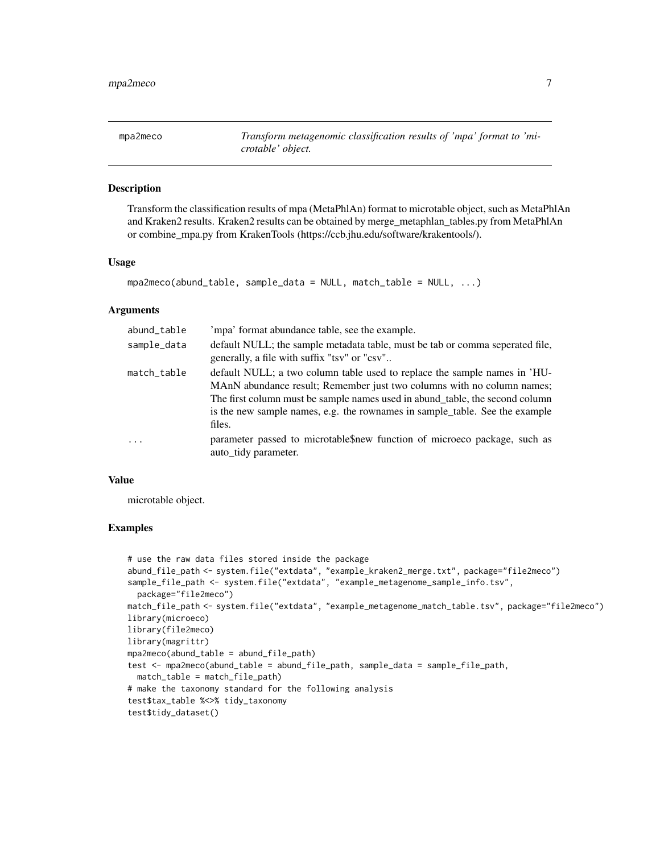<span id="page-6-0"></span>mpa2meco *Transform metagenomic classification results of 'mpa' format to 'microtable' object.*

# Description

Transform the classification results of mpa (MetaPhlAn) format to microtable object, such as MetaPhlAn and Kraken2 results. Kraken2 results can be obtained by merge\_metaphlan\_tables.py from MetaPhlAn or combine\_mpa.py from KrakenTools (https://ccb.jhu.edu/software/krakentools/).

#### Usage

```
mpa2meco(abund_table, sample_data = NULL, match_table = NULL, ...)
```
#### Arguments

| abund_table | 'mpa' format abundance table, see the example.                                                                                                                                                                                                                                                                               |
|-------------|------------------------------------------------------------------------------------------------------------------------------------------------------------------------------------------------------------------------------------------------------------------------------------------------------------------------------|
| sample_data | default NULL; the sample metadata table, must be tab or comma seperated file,<br>generally, a file with suffix "tsv" or "csv"                                                                                                                                                                                                |
| match_table | default NULL; a two column table used to replace the sample names in 'HU-<br>MAnN abundance result; Remember just two columns with no column names;<br>The first column must be sample names used in abund_table, the second column<br>is the new sample names, e.g. the rownames in sample_table. See the example<br>files. |
| $\ddots$ .  | parameter passed to microtable new function of microeco package, such as<br>auto_tidy parameter.                                                                                                                                                                                                                             |

#### Value

microtable object.

#### Examples

```
# use the raw data files stored inside the package
abund_file_path <- system.file("extdata", "example_kraken2_merge.txt", package="file2meco")
sample_file_path <- system.file("extdata", "example_metagenome_sample_info.tsv",
 package="file2meco")
match_file_path <- system.file("extdata", "example_metagenome_match_table.tsv", package="file2meco")
library(microeco)
library(file2meco)
library(magrittr)
mpa2meco(abund_table = abund_file_path)
test <- mpa2meco(abund_table = abund_file_path, sample_data = sample_file_path,
 match_table = match_file_path)
# make the taxonomy standard for the following analysis
test$tax_table %<>% tidy_taxonomy
test$tidy_dataset()
```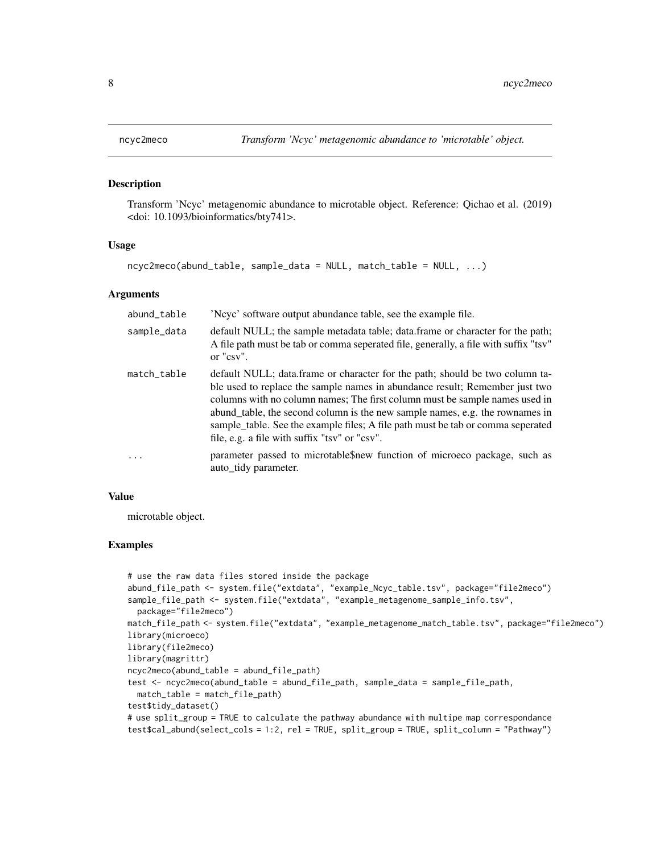#### Description

Transform 'Ncyc' metagenomic abundance to microtable object. Reference: Qichao et al. (2019) <doi: 10.1093/bioinformatics/bty741>.

#### Usage

```
ncyc2meco(abund_table, sample_data = NULL, match_table = NULL, ...)
```
#### **Arguments**

| abund_table | 'Ncyc' software output abundance table, see the example file.                                                                                                                                                                                                                                                                                                                                                                                                  |
|-------------|----------------------------------------------------------------------------------------------------------------------------------------------------------------------------------------------------------------------------------------------------------------------------------------------------------------------------------------------------------------------------------------------------------------------------------------------------------------|
| sample_data | default NULL; the sample metadata table; data.frame or character for the path;<br>A file path must be tab or comma seperated file, generally, a file with suffix "tsv"<br>or "csv".                                                                                                                                                                                                                                                                            |
| match_table | default NULL; data.frame or character for the path; should be two column ta-<br>ble used to replace the sample names in abundance result; Remember just two<br>columns with no column names; The first column must be sample names used in<br>abund_table, the second column is the new sample names, e.g. the rownames in<br>sample_table. See the example files; A file path must be tab or comma seperated<br>file, e.g. a file with suffix "tsv" or "csv". |
| $\ddotsc$   | parameter passed to microtable new function of microeco package, such as<br>auto tidy parameter.                                                                                                                                                                                                                                                                                                                                                               |

### Value

microtable object.

#### Examples

```
# use the raw data files stored inside the package
abund_file_path <- system.file("extdata", "example_Ncyc_table.tsv", package="file2meco")
sample_file_path <- system.file("extdata", "example_metagenome_sample_info.tsv",
 package="file2meco")
match_file_path <- system.file("extdata", "example_metagenome_match_table.tsv", package="file2meco")
library(microeco)
library(file2meco)
library(magrittr)
ncyc2meco(abund_table = abund_file_path)
test <- ncyc2meco(abund_table = abund_file_path, sample_data = sample_file_path,
 match_table = match_file_path)
test$tidy_dataset()
# use split_group = TRUE to calculate the pathway abundance with multipe map correspondance
test$cal_abund(select_cols = 1:2, rel = TRUE, split_group = TRUE, split_column = "Pathway")
```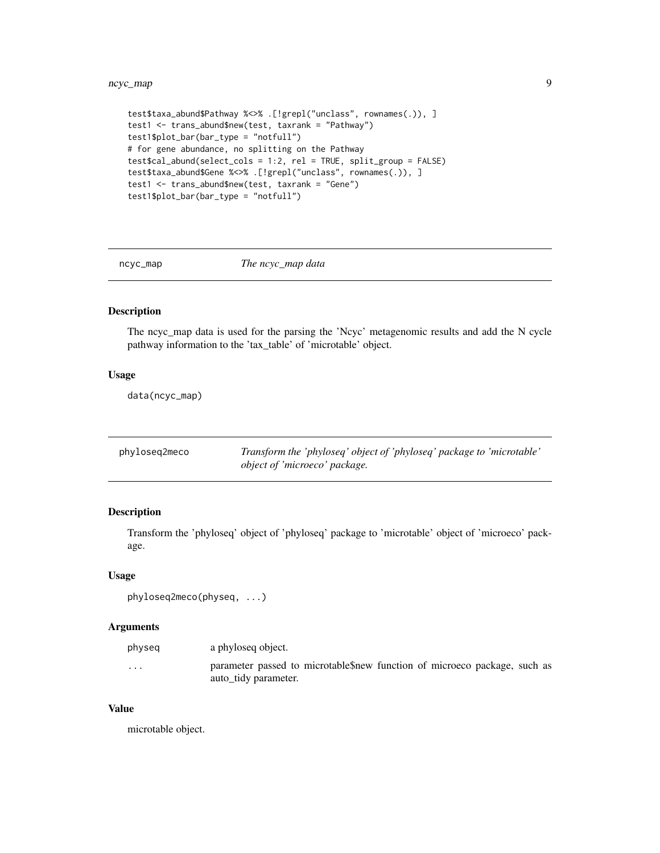```
test$taxa_abund$Pathway %<>% .[!grepl("unclass", rownames(.)), ]
test1 <- trans_abund$new(test, taxrank = "Pathway")
test1$plot_bar(bar_type = "notfull")
# for gene abundance, no splitting on the Pathway
test$cal_abund(select_cols = 1:2, rel = TRUE, split_group = FALSE)
test$taxa_abund$Gene %<>% .[!grepl("unclass", rownames(.)), ]
test1 <- trans_abund$new(test, taxrank = "Gene")
test1$plot_bar(bar_type = "notfull")
```
ncyc\_map *The ncyc\_map data*

# Description

The ncyc\_map data is used for the parsing the 'Ncyc' metagenomic results and add the N cycle pathway information to the 'tax\_table' of 'microtable' object.

#### Usage

data(ncyc\_map)

| phyloseg2meco | Transform the 'phyloseq' object of 'phyloseq' package to 'microtable' |
|---------------|-----------------------------------------------------------------------|
|               | object of 'microeco' package.                                         |

# Description

Transform the 'phyloseq' object of 'phyloseq' package to 'microtable' object of 'microeco' package.

### Usage

```
phyloseq2meco(physeq, ...)
```
#### Arguments

| physeq            | a phyloseg object.                                                                                |
|-------------------|---------------------------------------------------------------------------------------------------|
| $\cdot\cdot\cdot$ | parameter passed to microtable\$new function of microeco package, such as<br>auto tidy parameter. |

#### Value

microtable object.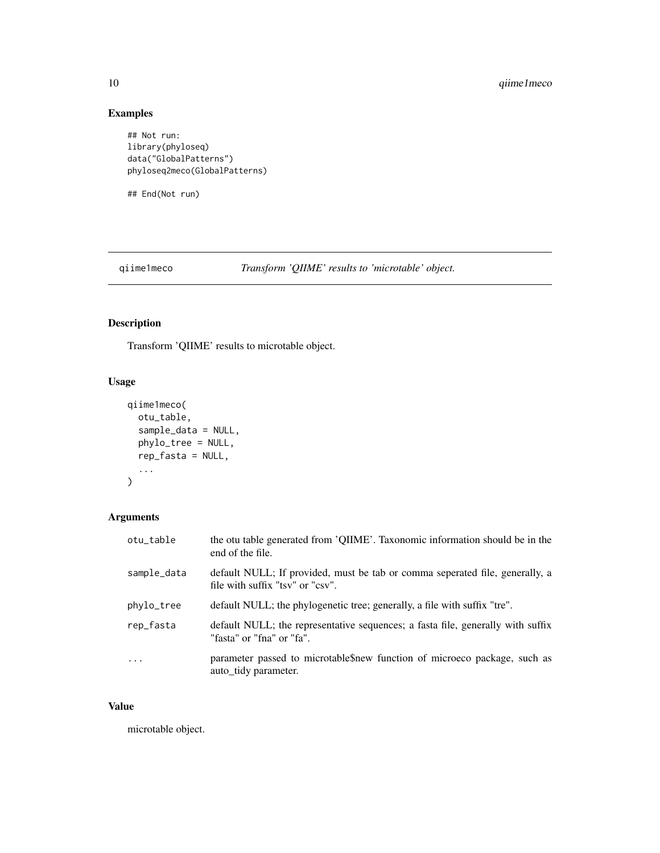# Examples

```
## Not run:
library(phyloseq)
data("GlobalPatterns")
phyloseq2meco(GlobalPatterns)
```
## End(Not run)

qiime1meco *Transform 'QIIME' results to 'microtable' object.*

# Description

Transform 'QIIME' results to microtable object.

# Usage

```
qiime1meco(
 otu_table,
  sample_data = NULL,
 phylo_tree = NULL,
 rep_fasta = NULL,
  ...
)
```
# Arguments

| otu_table   | the otu table generated from 'QIIME'. Taxonomic information should be in the<br>end of the file.                 |
|-------------|------------------------------------------------------------------------------------------------------------------|
| sample_data | default NULL; If provided, must be tab or comma seperated file, generally, a<br>file with suffix "tsv" or "csv". |
| phylo_tree  | default NULL; the phylogenetic tree; generally, a file with suffix "tre".                                        |
| rep_fasta   | default NULL; the representative sequences; a fasta file, generally with suffix<br>"fasta" or "fna" or "fa".     |
| $\ddots$ .  | parameter passed to microtable new function of microeco package, such as<br>auto tidy parameter.                 |

# Value

microtable object.

<span id="page-9-0"></span>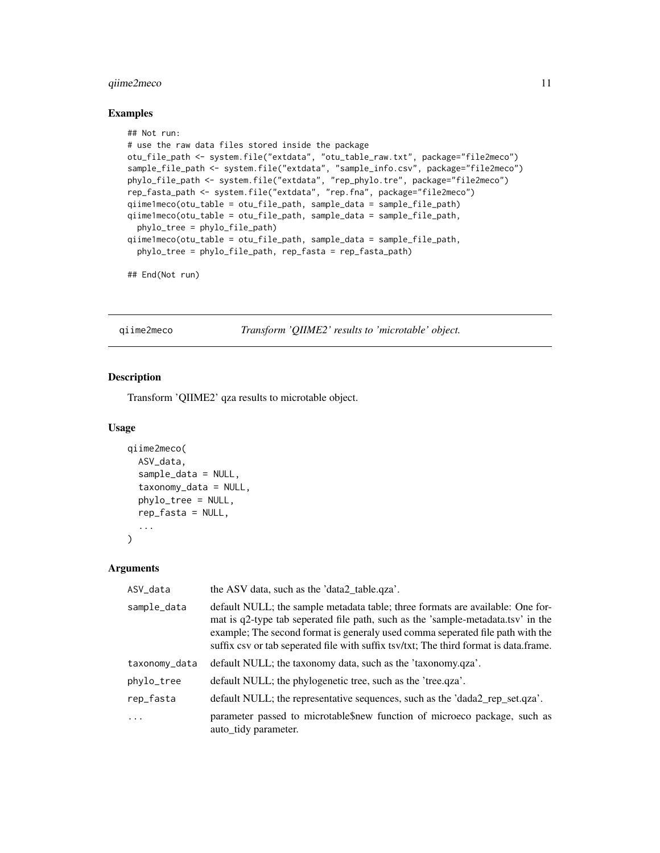# <span id="page-10-0"></span>qiime2meco 11

#### Examples

```
## Not run:
# use the raw data files stored inside the package
otu_file_path <- system.file("extdata", "otu_table_raw.txt", package="file2meco")
sample_file_path <- system.file("extdata", "sample_info.csv", package="file2meco")
phylo_file_path <- system.file("extdata", "rep_phylo.tre", package="file2meco")
rep_fasta_path <- system.file("extdata", "rep.fna", package="file2meco")
qiime1meco(otu_table = otu_file_path, sample_data = sample_file_path)
qiime1meco(otu_table = otu_file_path, sample_data = sample_file_path,
  phylo_tree = phylo_file_path)
qiime1meco(otu_table = otu_file_path, sample_data = sample_file_path,
  phylo_tree = phylo_file_path, rep_fasta = rep_fasta_path)
```
## End(Not run)

qiime2meco *Transform 'QIIME2' results to 'microtable' object.*

#### Description

Transform 'QIIME2' qza results to microtable object.

#### Usage

```
qiime2meco(
  ASV_data,
  sample_data = NULL,
  taxonomy_data = NULL,
  phylo_tree = NULL,
  rep_fasta = NULL,
  ...
\mathcal{L}
```
#### Arguments

| ASV_data      | the ASV data, such as the 'data2_table.qza'.                                                                                                                                                                                                                                                                                                  |
|---------------|-----------------------------------------------------------------------------------------------------------------------------------------------------------------------------------------------------------------------------------------------------------------------------------------------------------------------------------------------|
| sample_data   | default NULL; the sample metadata table; three formats are available: One for-<br>mat is q2-type tab seperated file path, such as the 'sample-metadata.tsv' in the<br>example; The second format is generaly used comma seperated file path with the<br>suffix csv or tab seperated file with suffix tsv/txt; The third format is data.frame. |
| taxonomy_data | default NULL; the taxonomy data, such as the 'taxonomy.qza'.                                                                                                                                                                                                                                                                                  |
| phylo_tree    | default NULL; the phylogenetic tree, such as the 'tree.qza'.                                                                                                                                                                                                                                                                                  |
| rep_fasta     | default NULL; the representative sequences, such as the 'dada2 rep set.qza'.                                                                                                                                                                                                                                                                  |
| $\cdot$       | parameter passed to microtable\$new function of microeco package, such as<br>auto_tidy parameter.                                                                                                                                                                                                                                             |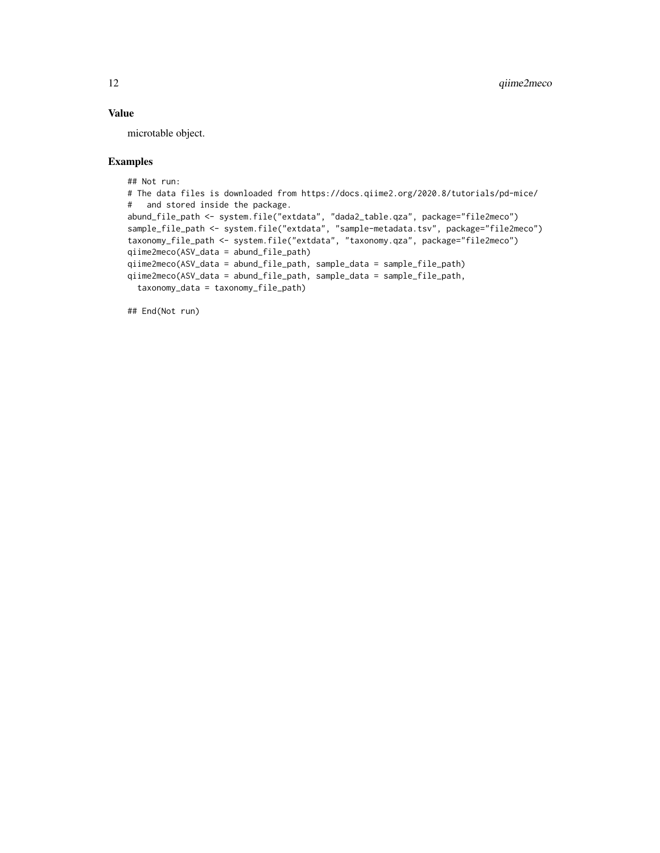# Value

microtable object.

# Examples

```
## Not run:
# The data files is downloaded from https://docs.qiime2.org/2020.8/tutorials/pd-mice/
# and stored inside the package.
abund_file_path <- system.file("extdata", "dada2_table.qza", package="file2meco")
sample_file_path <- system.file("extdata", "sample-metadata.tsv", package="file2meco")
taxonomy_file_path <- system.file("extdata", "taxonomy.qza", package="file2meco")
qiime2meco(ASV_data = abund_file_path)
qiime2meco(ASV_data = abund_file_path, sample_data = sample_file_path)
qiime2meco(ASV_data = abund_file_path, sample_data = sample_file_path,
  taxonomy_data = taxonomy_file_path)
```
## End(Not run)